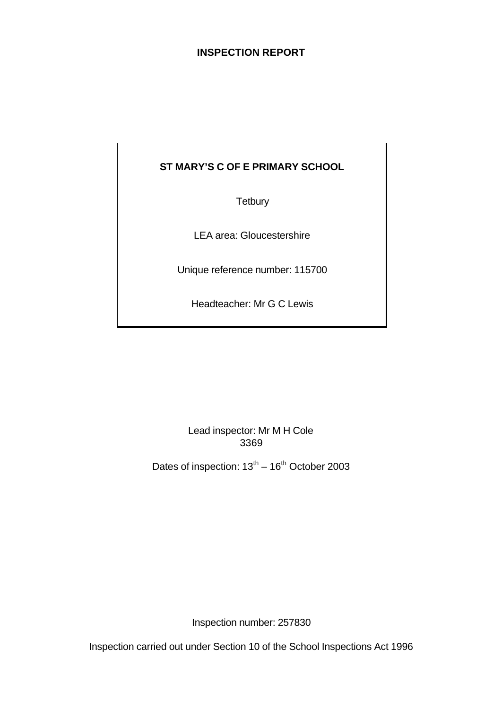# **INSPECTION REPORT**

# **ST MARY'S C OF E PRIMARY SCHOOL**

**Tetbury** 

LEA area: Gloucestershire

Unique reference number: 115700

Headteacher: Mr G C Lewis

Lead inspector: Mr M H Cole 3369

Dates of inspection:  $13^{th} - 16^{th}$  October 2003

Inspection number: 257830

Inspection carried out under Section 10 of the School Inspections Act 1996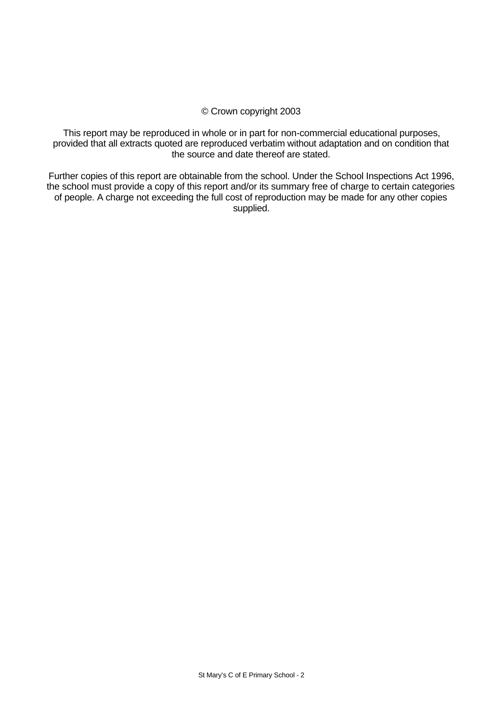#### © Crown copyright 2003

This report may be reproduced in whole or in part for non-commercial educational purposes, provided that all extracts quoted are reproduced verbatim without adaptation and on condition that the source and date thereof are stated.

Further copies of this report are obtainable from the school. Under the School Inspections Act 1996, the school must provide a copy of this report and/or its summary free of charge to certain categories of people. A charge not exceeding the full cost of reproduction may be made for any other copies supplied.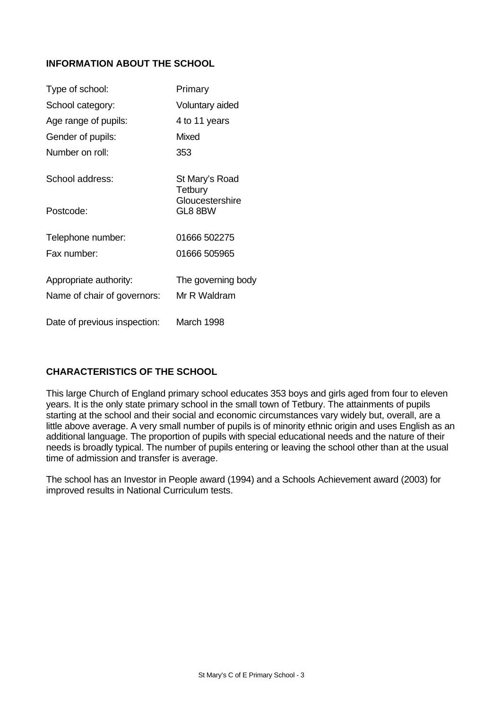# **INFORMATION ABOUT THE SCHOOL**

| Type of school:              | Primary                    |
|------------------------------|----------------------------|
| School category:             | Voluntary aided            |
| Age range of pupils:         | 4 to 11 years              |
| Gender of pupils:            | Mixed                      |
| Number on roll:              | 353                        |
| School address:              | St Mary's Road<br>Tetbury  |
| Postcode:                    | Gloucestershire<br>GL8 8BW |
| Telephone number:            | 01666 502275               |
| Fax number:                  | 01666 505965               |
| Appropriate authority:       | The governing body         |
| Name of chair of governors:  | Mr R Waldram               |
| Date of previous inspection: | March 1998                 |

# **CHARACTERISTICS OF THE SCHOOL**

This large Church of England primary school educates 353 boys and girls aged from four to eleven years. It is the only state primary school in the small town of Tetbury. The attainments of pupils starting at the school and their social and economic circumstances vary widely but, overall, are a little above average. A very small number of pupils is of minority ethnic origin and uses English as an additional language. The proportion of pupils with special educational needs and the nature of their needs is broadly typical. The number of pupils entering or leaving the school other than at the usual time of admission and transfer is average.

The school has an Investor in People award (1994) and a Schools Achievement award (2003) for improved results in National Curriculum tests.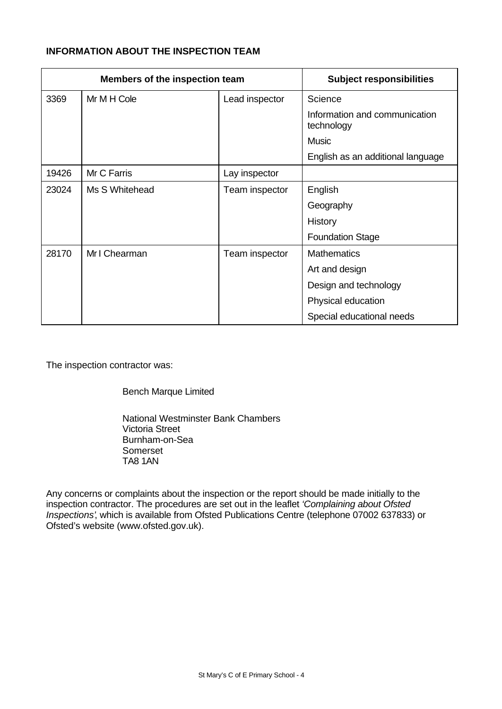# **INFORMATION ABOUT THE INSPECTION TEAM**

| Members of the inspection team |                | <b>Subject responsibilities</b> |                                             |
|--------------------------------|----------------|---------------------------------|---------------------------------------------|
| 3369                           | Mr M H Cole    | Lead inspector                  | Science                                     |
|                                |                |                                 | Information and communication<br>technology |
|                                |                |                                 | <b>Music</b>                                |
|                                |                |                                 | English as an additional language           |
| 19426                          | Mr C Farris    | Lay inspector                   |                                             |
| 23024                          | Ms S Whitehead | Team inspector                  | English                                     |
|                                |                |                                 | Geography                                   |
|                                |                |                                 | History                                     |
|                                |                |                                 | <b>Foundation Stage</b>                     |
| 28170                          | Mr I Chearman  | Team inspector                  | <b>Mathematics</b>                          |
|                                |                |                                 | Art and design                              |
|                                |                |                                 | Design and technology                       |
|                                |                |                                 | Physical education                          |
|                                |                |                                 | Special educational needs                   |

The inspection contractor was:

Bench Marque Limited

National Westminster Bank Chambers Victoria Street Burnham-on-Sea Somerset TA8 1AN

Any concerns or complaints about the inspection or the report should be made initially to the inspection contractor. The procedures are set out in the leaflet *'Complaining about Ofsted Inspections'*, which is available from Ofsted Publications Centre (telephone 07002 637833) or Ofsted's website (www.ofsted.gov.uk).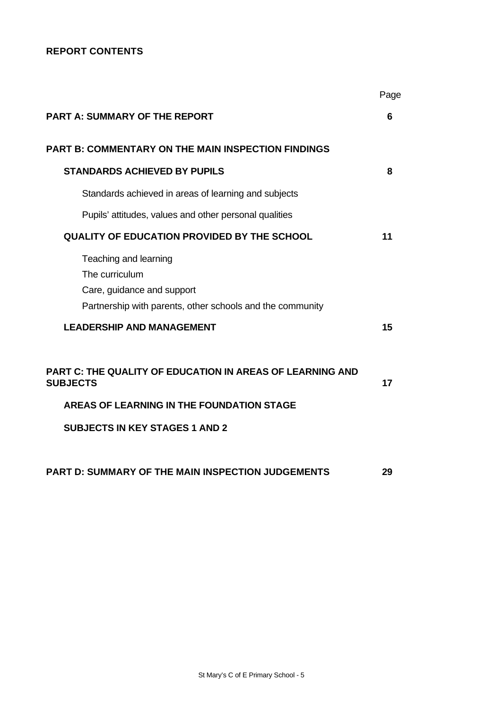# **REPORT CONTENTS**

|                                                                                                                                    | Page |
|------------------------------------------------------------------------------------------------------------------------------------|------|
| <b>PART A: SUMMARY OF THE REPORT</b>                                                                                               | 6    |
| <b>PART B: COMMENTARY ON THE MAIN INSPECTION FINDINGS</b>                                                                          |      |
| <b>STANDARDS ACHIEVED BY PUPILS</b>                                                                                                | 8    |
| Standards achieved in areas of learning and subjects                                                                               |      |
| Pupils' attitudes, values and other personal qualities                                                                             |      |
| <b>QUALITY OF EDUCATION PROVIDED BY THE SCHOOL</b>                                                                                 | 11   |
| Teaching and learning<br>The curriculum<br>Care, guidance and support<br>Partnership with parents, other schools and the community |      |
| <b>LEADERSHIP AND MANAGEMENT</b>                                                                                                   | 15   |
| <b>PART C: THE QUALITY OF EDUCATION IN AREAS OF LEARNING AND</b><br><b>SUBJECTS</b>                                                | 17   |
| AREAS OF LEARNING IN THE FOUNDATION STAGE                                                                                          |      |
| <b>SUBJECTS IN KEY STAGES 1 AND 2</b>                                                                                              |      |
| PART D: SUMMARY OF THE MAIN INSPECTION JUDGEMENTS                                                                                  | 29   |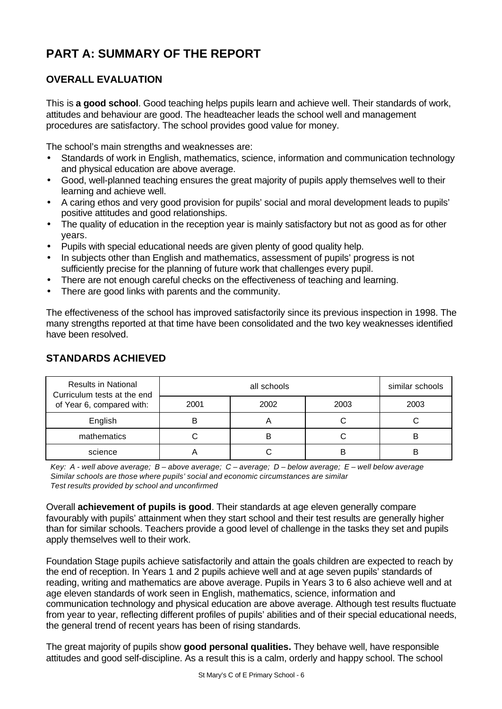# **PART A: SUMMARY OF THE REPORT**

# **OVERALL EVALUATION**

This is **a good school**. Good teaching helps pupils learn and achieve well. Their standards of work, attitudes and behaviour are good. The headteacher leads the school well and management procedures are satisfactory. The school provides good value for money.

The school's main strengths and weaknesses are:

- Standards of work in English, mathematics, science, information and communication technology and physical education are above average.
- Good, well-planned teaching ensures the great majority of pupils apply themselves well to their learning and achieve well.
- A caring ethos and very good provision for pupils' social and moral development leads to pupils' positive attitudes and good relationships.
- The quality of education in the reception year is mainly satisfactory but not as good as for other years.
- Pupils with special educational needs are given plenty of good quality help.
- In subjects other than English and mathematics, assessment of pupils' progress is not sufficiently precise for the planning of future work that challenges every pupil.
- There are not enough careful checks on the effectiveness of teaching and learning.
- There are good links with parents and the community.

The effectiveness of the school has improved satisfactorily since its previous inspection in 1998. The many strengths reported at that time have been consolidated and the two key weaknesses identified have been resolved.

| <b>Results in National</b><br>Curriculum tests at the end |      | similar schools |      |      |
|-----------------------------------------------------------|------|-----------------|------|------|
| of Year 6, compared with:                                 | 2001 | 2002            | 2003 | 2003 |
| English                                                   |      |                 |      |      |
| mathematics                                               |      | в               |      | B    |
| science                                                   |      |                 | B    | B    |

# **STANDARDS ACHIEVED**

*Key: A - well above average; B – above average; C – average; D – below average; E – well below average Similar schools are those where pupils' social and economic circumstances are similar Test results provided by school and unconfirmed*

Overall **achievement of pupils is good**. Their standards at age eleven generally compare favourably with pupils' attainment when they start school and their test results are generally higher than for similar schools. Teachers provide a good level of challenge in the tasks they set and pupils apply themselves well to their work.

Foundation Stage pupils achieve satisfactorily and attain the goals children are expected to reach by the end of reception. In Years 1 and 2 pupils achieve well and at age seven pupils' standards of reading, writing and mathematics are above average. Pupils in Years 3 to 6 also achieve well and at age eleven standards of work seen in English, mathematics, science, information and communication technology and physical education are above average. Although test results fluctuate from year to year, reflecting different profiles of pupils' abilities and of their special educational needs, the general trend of recent years has been of rising standards.

The great majority of pupils show **good personal qualities.** They behave well, have responsible attitudes and good self-discipline. As a result this is a calm, orderly and happy school. The school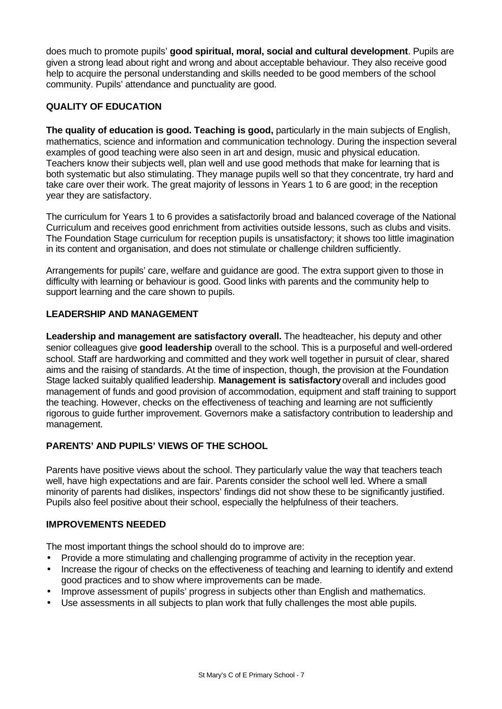does much to promote pupils' **good spiritual, moral, social and cultural development**. Pupils are given a strong lead about right and wrong and about acceptable behaviour. They also receive good help to acquire the personal understanding and skills needed to be good members of the school community. Pupils' attendance and punctuality are good.

# **QUALITY OF EDUCATION**

**The quality of education is good. Teaching is good,** particularly in the main subjects of English, mathematics, science and information and communication technology. During the inspection several examples of good teaching were also seen in art and design, music and physical education. Teachers know their subjects well, plan well and use good methods that make for learning that is both systematic but also stimulating. They manage pupils well so that they concentrate, try hard and take care over their work. The great majority of lessons in Years 1 to 6 are good; in the reception year they are satisfactory.

The curriculum for Years 1 to 6 provides a satisfactorily broad and balanced coverage of the National Curriculum and receives good enrichment from activities outside lessons, such as clubs and visits. The Foundation Stage curriculum for reception pupils is unsatisfactory; it shows too little imagination in its content and organisation, and does not stimulate or challenge children sufficiently.

Arrangements for pupils' care, welfare and guidance are good. The extra support given to those in difficulty with learning or behaviour is good. Good links with parents and the community help to support learning and the care shown to pupils.

### **LEADERSHIP AND MANAGEMENT**

**Leadership and management are satisfactory overall.** The headteacher, his deputy and other senior colleagues give **good leadership** overall to the school. This is a purposeful and well-ordered school. Staff are hardworking and committed and they work well together in pursuit of clear, shared aims and the raising of standards. At the time of inspection, though, the provision at the Foundation Stage lacked suitably qualified leadership. **Management is satisfactory** overall and includes good management of funds and good provision of accommodation, equipment and staff training to support the teaching. However, checks on the effectiveness of teaching and learning are not sufficiently rigorous to guide further improvement. Governors make a satisfactory contribution to leadership and management.

# **PARENTS' AND PUPILS' VIEWS OF THE SCHOOL**

Parents have positive views about the school. They particularly value the way that teachers teach well, have high expectations and are fair. Parents consider the school well led. Where a small minority of parents had dislikes, inspectors' findings did not show these to be significantly justified. Pupils also feel positive about their school, especially the helpfulness of their teachers.

# **IMPROVEMENTS NEEDED**

The most important things the school should do to improve are:

- Provide a more stimulating and challenging programme of activity in the reception year.
- Increase the rigour of checks on the effectiveness of teaching and learning to identify and extend good practices and to show where improvements can be made.
- Improve assessment of pupils' progress in subjects other than English and mathematics.
- Use assessments in all subjects to plan work that fully challenges the most able pupils.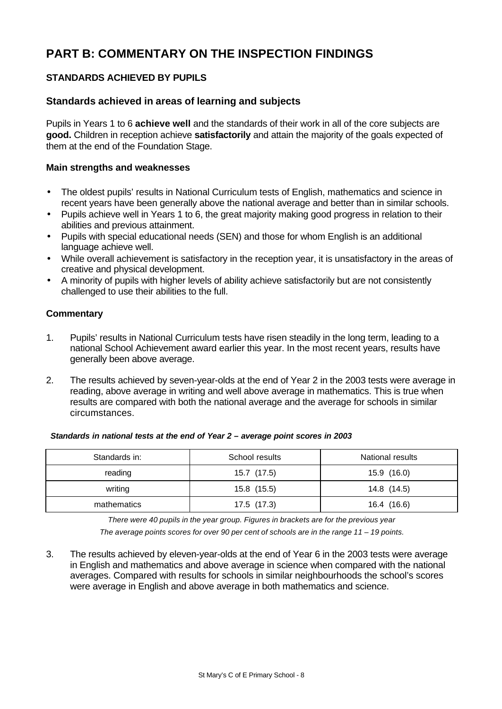# **PART B: COMMENTARY ON THE INSPECTION FINDINGS**

# **STANDARDS ACHIEVED BY PUPILS**

## **Standards achieved in areas of learning and subjects**

Pupils in Years 1 to 6 **achieve well** and the standards of their work in all of the core subjects are **good.** Children in reception achieve **satisfactorily** and attain the majority of the goals expected of them at the end of the Foundation Stage.

#### **Main strengths and weaknesses**

- The oldest pupils' results in National Curriculum tests of English, mathematics and science in recent years have been generally above the national average and better than in similar schools.
- Pupils achieve well in Years 1 to 6, the great majority making good progress in relation to their abilities and previous attainment.
- Pupils with special educational needs (SEN) and those for whom English is an additional language achieve well.
- While overall achievement is satisfactory in the reception year, it is unsatisfactory in the areas of creative and physical development.
- A minority of pupils with higher levels of ability achieve satisfactorily but are not consistently challenged to use their abilities to the full.

#### **Commentary**

- 1. Pupils' results in National Curriculum tests have risen steadily in the long term, leading to a national School Achievement award earlier this year. In the most recent years, results have generally been above average.
- 2. The results achieved by seven-year-olds at the end of Year 2 in the 2003 tests were average in reading, above average in writing and well above average in mathematics. This is true when results are compared with both the national average and the average for schools in similar circumstances.

*Standards in national tests at the end of Year 2 – average point scores in 2003*

| Standards in: | School results | National results |
|---------------|----------------|------------------|
| reading       | 15.7 (17.5)    | 15.9 (16.0)      |
| writing       | 15.8 (15.5)    | 14.8 (14.5)      |
| mathematics   | 17.5(17.3)     | 16.4 (16.6)      |

*There were 40 pupils in the year group. Figures in brackets are for the previous year The average points scores for over 90 per cent of schools are in the range 11 – 19 points.*

3. The results achieved by eleven-year-olds at the end of Year 6 in the 2003 tests were average in English and mathematics and above average in science when compared with the national averages. Compared with results for schools in similar neighbourhoods the school's scores were average in English and above average in both mathematics and science.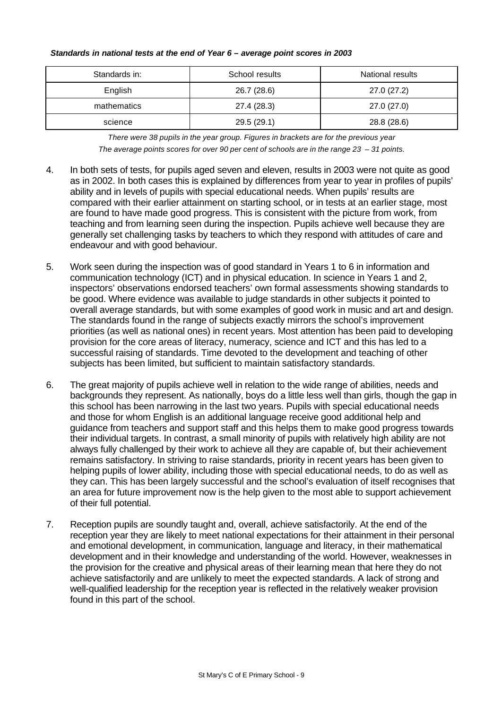| Standards in: | School results | National results |
|---------------|----------------|------------------|
| English       | 26.7 (28.6)    | 27.0 (27.2)      |
| mathematics   | 27.4 (28.3)    | 27.0 (27.0)      |
| science       | 29.5 (29.1)    | 28.8 (28.6)      |

#### *Standards in national tests at the end of Year 6 – average point scores in 2003*

*There were 38 pupils in the year group. Figures in brackets are for the previous year The average points scores for over 90 per cent of schools are in the range 23 – 31 points.*

- 4. In both sets of tests, for pupils aged seven and eleven, results in 2003 were not quite as good as in 2002. In both cases this is explained by differences from year to year in profiles of pupils' ability and in levels of pupils with special educational needs. When pupils' results are compared with their earlier attainment on starting school, or in tests at an earlier stage, most are found to have made good progress. This is consistent with the picture from work, from teaching and from learning seen during the inspection. Pupils achieve well because they are generally set challenging tasks by teachers to which they respond with attitudes of care and endeavour and with good behaviour.
- 5. Work seen during the inspection was of good standard in Years 1 to 6 in information and communication technology (ICT) and in physical education. In science in Years 1 and 2, inspectors' observations endorsed teachers' own formal assessments showing standards to be good. Where evidence was available to judge standards in other subjects it pointed to overall average standards, but with some examples of good work in music and art and design. The standards found in the range of subjects exactly mirrors the school's improvement priorities (as well as national ones) in recent years. Most attention has been paid to developing provision for the core areas of literacy, numeracy, science and ICT and this has led to a successful raising of standards. Time devoted to the development and teaching of other subjects has been limited, but sufficient to maintain satisfactory standards.
- 6. The great majority of pupils achieve well in relation to the wide range of abilities, needs and backgrounds they represent. As nationally, boys do a little less well than girls, though the gap in this school has been narrowing in the last two years. Pupils with special educational needs and those for whom English is an additional language receive good additional help and guidance from teachers and support staff and this helps them to make good progress towards their individual targets. In contrast, a small minority of pupils with relatively high ability are not always fully challenged by their work to achieve all they are capable of, but their achievement remains satisfactory. In striving to raise standards, priority in recent years has been given to helping pupils of lower ability, including those with special educational needs, to do as well as they can. This has been largely successful and the school's evaluation of itself recognises that an area for future improvement now is the help given to the most able to support achievement of their full potential.
- 7. Reception pupils are soundly taught and, overall, achieve satisfactorily. At the end of the reception year they are likely to meet national expectations for their attainment in their personal and emotional development, in communication, language and literacy, in their mathematical development and in their knowledge and understanding of the world. However, weaknesses in the provision for the creative and physical areas of their learning mean that here they do not achieve satisfactorily and are unlikely to meet the expected standards. A lack of strong and well-qualified leadership for the reception year is reflected in the relatively weaker provision found in this part of the school.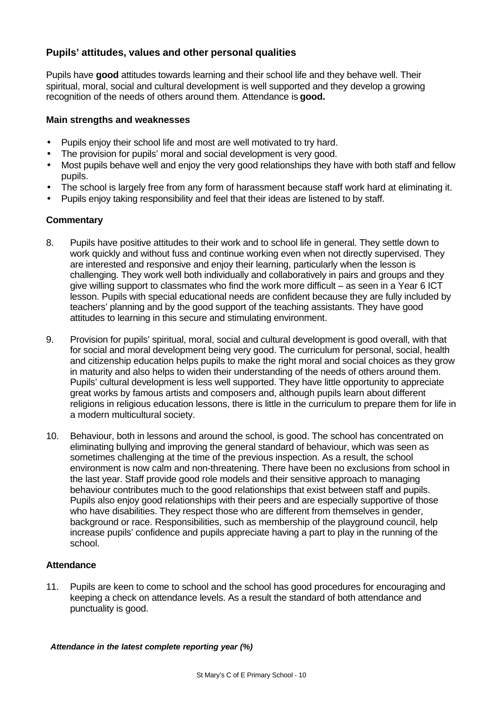# **Pupils' attitudes, values and other personal qualities**

Pupils have **good** attitudes towards learning and their school life and they behave well. Their spiritual, moral, social and cultural development is well supported and they develop a growing recognition of the needs of others around them. Attendance is **good.**

#### **Main strengths and weaknesses**

- Pupils enjoy their school life and most are well motivated to try hard.
- The provision for pupils' moral and social development is very good.
- Most pupils behave well and enjoy the very good relationships they have with both staff and fellow pupils.
- The school is largely free from any form of harassment because staff work hard at eliminating it.
- Pupils enjoy taking responsibility and feel that their ideas are listened to by staff.

#### **Commentary**

- 8. Pupils have positive attitudes to their work and to school life in general. They settle down to work quickly and without fuss and continue working even when not directly supervised. They are interested and responsive and enjoy their learning, particularly when the lesson is challenging. They work well both individually and collaboratively in pairs and groups and they give willing support to classmates who find the work more difficult – as seen in a Year 6 ICT lesson. Pupils with special educational needs are confident because they are fully included by teachers' planning and by the good support of the teaching assistants. They have good attitudes to learning in this secure and stimulating environment.
- 9. Provision for pupils' spiritual, moral, social and cultural development is good overall, with that for social and moral development being very good. The curriculum for personal, social, health and citizenship education helps pupils to make the right moral and social choices as they grow in maturity and also helps to widen their understanding of the needs of others around them. Pupils' cultural development is less well supported. They have little opportunity to appreciate great works by famous artists and composers and, although pupils learn about different religions in religious education lessons, there is little in the curriculum to prepare them for life in a modern multicultural society.
- 10. Behaviour, both in lessons and around the school, is good. The school has concentrated on eliminating bullying and improving the general standard of behaviour, which was seen as sometimes challenging at the time of the previous inspection. As a result, the school environment is now calm and non-threatening. There have been no exclusions from school in the last year. Staff provide good role models and their sensitive approach to managing behaviour contributes much to the good relationships that exist between staff and pupils. Pupils also enjoy good relationships with their peers and are especially supportive of those who have disabilities. They respect those who are different from themselves in gender, background or race. Responsibilities, such as membership of the playground council, help increase pupils' confidence and pupils appreciate having a part to play in the running of the school.

#### **Attendance**

11. Pupils are keen to come to school and the school has good procedures for encouraging and keeping a check on attendance levels. As a result the standard of both attendance and punctuality is good.

*Attendance in the latest complete reporting year (%)*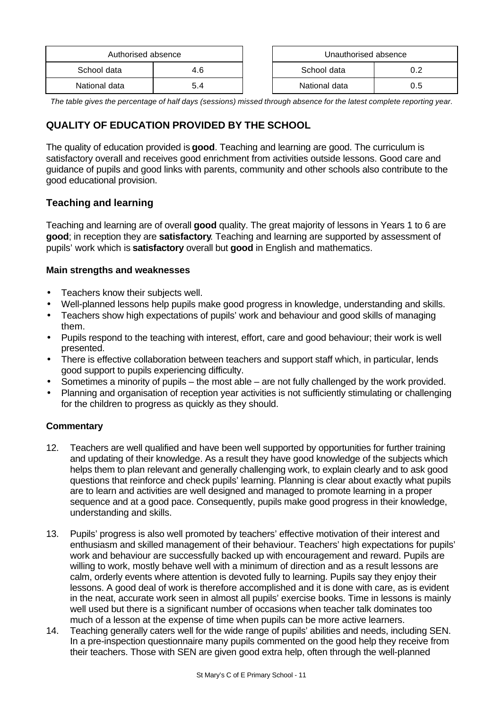| Authorised absence |     | Unauthorised absence |     |
|--------------------|-----|----------------------|-----|
| School data        | 4.6 | School data          |     |
| National data      | 5.4 | National data        | 0.5 |

*The table gives the percentage of half days (sessions) missed through absence for the latest complete reporting year.*

# **QUALITY OF EDUCATION PROVIDED BY THE SCHOOL**

The quality of education provided is **good**. Teaching and learning are good. The curriculum is satisfactory overall and receives good enrichment from activities outside lessons. Good care and guidance of pupils and good links with parents, community and other schools also contribute to the good educational provision.

# **Teaching and learning**

Teaching and learning are of overall **good** quality. The great majority of lessons in Years 1 to 6 are **good**; in reception they are **satisfactory**. Teaching and learning are supported by assessment of pupils' work which is **satisfactory** overall but **good** in English and mathematics.

#### **Main strengths and weaknesses**

- Teachers know their subjects well.
- Well-planned lessons help pupils make good progress in knowledge, understanding and skills.
- Teachers show high expectations of pupils' work and behaviour and good skills of managing them.
- Pupils respond to the teaching with interest, effort, care and good behaviour; their work is well presented.
- There is effective collaboration between teachers and support staff which, in particular, lends good support to pupils experiencing difficulty.
- Sometimes a minority of pupils the most able are not fully challenged by the work provided.
- Planning and organisation of reception year activities is not sufficiently stimulating or challenging for the children to progress as quickly as they should.

- 12. Teachers are well qualified and have been well supported by opportunities for further training and updating of their knowledge. As a result they have good knowledge of the subjects which helps them to plan relevant and generally challenging work, to explain clearly and to ask good questions that reinforce and check pupils' learning. Planning is clear about exactly what pupils are to learn and activities are well designed and managed to promote learning in a proper sequence and at a good pace. Consequently, pupils make good progress in their knowledge, understanding and skills.
- 13. Pupils' progress is also well promoted by teachers' effective motivation of their interest and enthusiasm and skilled management of their behaviour. Teachers' high expectations for pupils' work and behaviour are successfully backed up with encouragement and reward. Pupils are willing to work, mostly behave well with a minimum of direction and as a result lessons are calm, orderly events where attention is devoted fully to learning. Pupils say they enjoy their lessons. A good deal of work is therefore accomplished and it is done with care, as is evident in the neat, accurate work seen in almost all pupils' exercise books. Time in lessons is mainly well used but there is a significant number of occasions when teacher talk dominates too much of a lesson at the expense of time when pupils can be more active learners.
- 14. Teaching generally caters well for the wide range of pupils' abilities and needs, including SEN. In a pre-inspection questionnaire many pupils commented on the good help they receive from their teachers. Those with SEN are given good extra help, often through the well-planned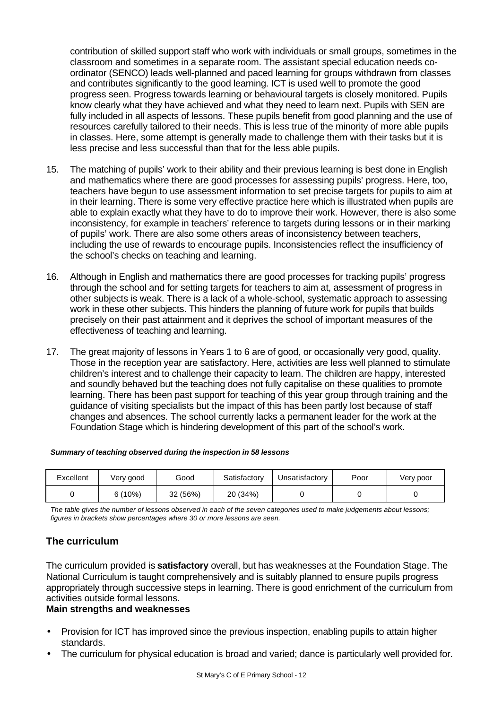contribution of skilled support staff who work with individuals or small groups, sometimes in the classroom and sometimes in a separate room. The assistant special education needs coordinator (SENCO) leads well-planned and paced learning for groups withdrawn from classes and contributes significantly to the good learning. ICT is used well to promote the good progress seen. Progress towards learning or behavioural targets is closely monitored. Pupils know clearly what they have achieved and what they need to learn next. Pupils with SEN are fully included in all aspects of lessons. These pupils benefit from good planning and the use of resources carefully tailored to their needs. This is less true of the minority of more able pupils in classes. Here, some attempt is generally made to challenge them with their tasks but it is less precise and less successful than that for the less able pupils.

- 15. The matching of pupils' work to their ability and their previous learning is best done in English and mathematics where there are good processes for assessing pupils' progress. Here, too, teachers have begun to use assessment information to set precise targets for pupils to aim at in their learning. There is some very effective practice here which is illustrated when pupils are able to explain exactly what they have to do to improve their work. However, there is also some inconsistency, for example in teachers' reference to targets during lessons or in their marking of pupils' work. There are also some others areas of inconsistency between teachers, including the use of rewards to encourage pupils. Inconsistencies reflect the insufficiency of the school's checks on teaching and learning.
- 16. Although in English and mathematics there are good processes for tracking pupils' progress through the school and for setting targets for teachers to aim at, assessment of progress in other subjects is weak. There is a lack of a whole-school, systematic approach to assessing work in these other subjects. This hinders the planning of future work for pupils that builds precisely on their past attainment and it deprives the school of important measures of the effectiveness of teaching and learning.
- 17. The great majority of lessons in Years 1 to 6 are of good, or occasionally very good, quality. Those in the reception year are satisfactory. Here, activities are less well planned to stimulate children's interest and to challenge their capacity to learn. The children are happy, interested and soundly behaved but the teaching does not fully capitalise on these qualities to promote learning. There has been past support for teaching of this year group through training and the guidance of visiting specialists but the impact of this has been partly lost because of staff changes and absences. The school currently lacks a permanent leader for the work at the Foundation Stage which is hindering development of this part of the school's work.

| Excellent | Very good | Good    | Satisfactory | Unsatisfactory | Poor | Very poor |
|-----------|-----------|---------|--------------|----------------|------|-----------|
|           | $6(10\%)$ | 32(56%) | 20 (34%)     |                |      |           |

#### *Summary of teaching observed during the inspection in 58 lessons*

*The table gives the number of lessons observed in each of the seven categories used to make judgements about lessons; figures in brackets show percentages where 30 or more lessons are seen.*

# **The curriculum**

The curriculum provided is **satisfactory** overall, but has weaknesses at the Foundation Stage. The National Curriculum is taught comprehensively and is suitably planned to ensure pupils progress appropriately through successive steps in learning. There is good enrichment of the curriculum from activities outside formal lessons.

### **Main strengths and weaknesses**

- Provision for ICT has improved since the previous inspection, enabling pupils to attain higher standards.
- The curriculum for physical education is broad and varied; dance is particularly well provided for.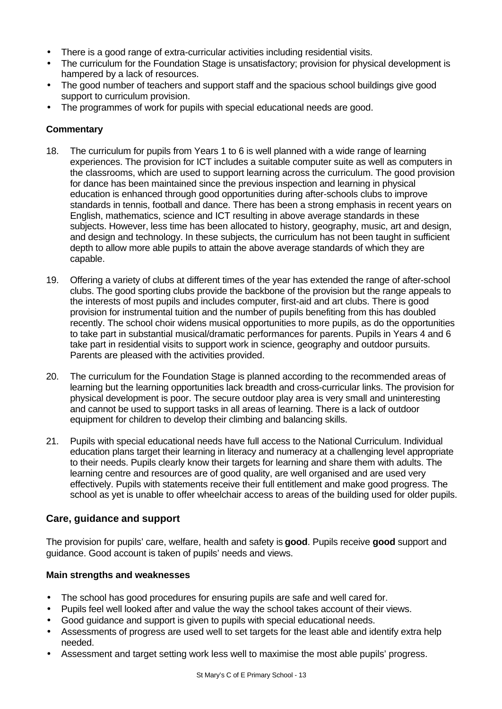- There is a good range of extra-curricular activities including residential visits.
- The curriculum for the Foundation Stage is unsatisfactory; provision for physical development is hampered by a lack of resources.
- The good number of teachers and support staff and the spacious school buildings give good support to curriculum provision.
- The programmes of work for pupils with special educational needs are good.

# **Commentary**

- 18. The curriculum for pupils from Years 1 to 6 is well planned with a wide range of learning experiences. The provision for ICT includes a suitable computer suite as well as computers in the classrooms, which are used to support learning across the curriculum. The good provision for dance has been maintained since the previous inspection and learning in physical education is enhanced through good opportunities during after-schools clubs to improve standards in tennis, football and dance. There has been a strong emphasis in recent years on English, mathematics, science and ICT resulting in above average standards in these subjects. However, less time has been allocated to history, geography, music, art and design, and design and technology. In these subjects, the curriculum has not been taught in sufficient depth to allow more able pupils to attain the above average standards of which they are capable.
- 19. Offering a variety of clubs at different times of the year has extended the range of after-school clubs. The good sporting clubs provide the backbone of the provision but the range appeals to the interests of most pupils and includes computer, first-aid and art clubs. There is good provision for instrumental tuition and the number of pupils benefiting from this has doubled recently. The school choir widens musical opportunities to more pupils, as do the opportunities to take part in substantial musical/dramatic performances for parents. Pupils in Years 4 and 6 take part in residential visits to support work in science, geography and outdoor pursuits. Parents are pleased with the activities provided.
- 20. The curriculum for the Foundation Stage is planned according to the recommended areas of learning but the learning opportunities lack breadth and cross-curricular links. The provision for physical development is poor. The secure outdoor play area is very small and uninteresting and cannot be used to support tasks in all areas of learning. There is a lack of outdoor equipment for children to develop their climbing and balancing skills.
- 21. Pupils with special educational needs have full access to the National Curriculum. Individual education plans target their learning in literacy and numeracy at a challenging level appropriate to their needs. Pupils clearly know their targets for learning and share them with adults. The learning centre and resources are of good quality, are well organised and are used very effectively. Pupils with statements receive their full entitlement and make good progress. The school as yet is unable to offer wheelchair access to areas of the building used for older pupils.

# **Care, guidance and support**

The provision for pupils' care, welfare, health and safety is **good**. Pupils receive **good** support and guidance. Good account is taken of pupils' needs and views.

# **Main strengths and weaknesses**

- The school has good procedures for ensuring pupils are safe and well cared for.
- Pupils feel well looked after and value the way the school takes account of their views.
- Good guidance and support is given to pupils with special educational needs.
- Assessments of progress are used well to set targets for the least able and identify extra help needed.
- Assessment and target setting work less well to maximise the most able pupils' progress.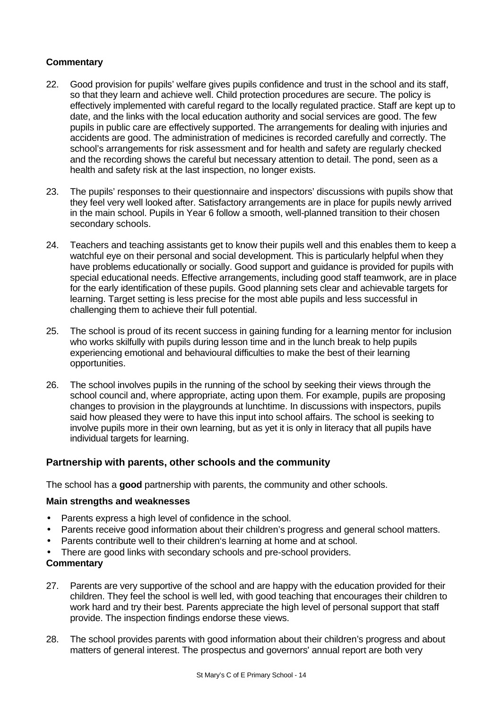#### **Commentary**

- 22. Good provision for pupils' welfare gives pupils confidence and trust in the school and its staff, so that they learn and achieve well. Child protection procedures are secure. The policy is effectively implemented with careful regard to the locally regulated practice. Staff are kept up to date, and the links with the local education authority and social services are good. The few pupils in public care are effectively supported. The arrangements for dealing with injuries and accidents are good. The administration of medicines is recorded carefully and correctly. The school's arrangements for risk assessment and for health and safety are regularly checked and the recording shows the careful but necessary attention to detail. The pond, seen as a health and safety risk at the last inspection, no longer exists.
- 23. The pupils' responses to their questionnaire and inspectors' discussions with pupils show that they feel very well looked after. Satisfactory arrangements are in place for pupils newly arrived in the main school. Pupils in Year 6 follow a smooth, well-planned transition to their chosen secondary schools.
- 24. Teachers and teaching assistants get to know their pupils well and this enables them to keep a watchful eye on their personal and social development. This is particularly helpful when they have problems educationally or socially. Good support and guidance is provided for pupils with special educational needs. Effective arrangements, including good staff teamwork, are in place for the early identification of these pupils. Good planning sets clear and achievable targets for learning. Target setting is less precise for the most able pupils and less successful in challenging them to achieve their full potential.
- 25. The school is proud of its recent success in gaining funding for a learning mentor for inclusion who works skilfully with pupils during lesson time and in the lunch break to help pupils experiencing emotional and behavioural difficulties to make the best of their learning opportunities.
- 26. The school involves pupils in the running of the school by seeking their views through the school council and, where appropriate, acting upon them. For example, pupils are proposing changes to provision in the playgrounds at lunchtime. In discussions with inspectors, pupils said how pleased they were to have this input into school affairs. The school is seeking to involve pupils more in their own learning, but as yet it is only in literacy that all pupils have individual targets for learning.

# **Partnership with parents, other schools and the community**

The school has a **good** partnership with parents, the community and other schools.

#### **Main strengths and weaknesses**

- Parents express a high level of confidence in the school.
- Parents receive good information about their children's progress and general school matters.
- Parents contribute well to their children's learning at home and at school.
- There are good links with secondary schools and pre-school providers.

- 27. Parents are very supportive of the school and are happy with the education provided for their children. They feel the school is well led, with good teaching that encourages their children to work hard and try their best. Parents appreciate the high level of personal support that staff provide. The inspection findings endorse these views.
- 28. The school provides parents with good information about their children's progress and about matters of general interest. The prospectus and governors' annual report are both very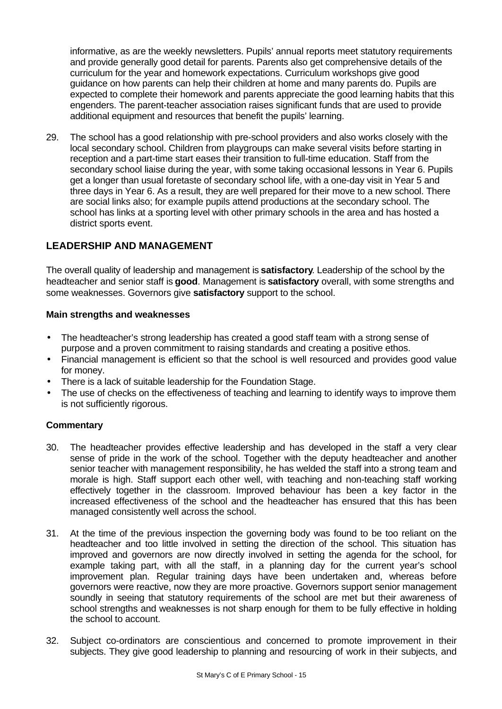informative, as are the weekly newsletters. Pupils' annual reports meet statutory requirements and provide generally good detail for parents. Parents also get comprehensive details of the curriculum for the year and homework expectations. Curriculum workshops give good guidance on how parents can help their children at home and many parents do. Pupils are expected to complete their homework and parents appreciate the good learning habits that this engenders. The parent-teacher association raises significant funds that are used to provide additional equipment and resources that benefit the pupils' learning.

29. The school has a good relationship with pre-school providers and also works closely with the local secondary school. Children from playgroups can make several visits before starting in reception and a part-time start eases their transition to full-time education. Staff from the secondary school liaise during the year, with some taking occasional lessons in Year 6. Pupils get a longer than usual foretaste of secondary school life, with a one-day visit in Year 5 and three days in Year 6. As a result, they are well prepared for their move to a new school. There are social links also; for example pupils attend productions at the secondary school. The school has links at a sporting level with other primary schools in the area and has hosted a district sports event.

# **LEADERSHIP AND MANAGEMENT**

The overall quality of leadership and management is **satisfactory**. Leadership of the school by the headteacher and senior staff is **good**. Management is **satisfactory** overall, with some strengths and some weaknesses. Governors give **satisfactory** support to the school.

#### **Main strengths and weaknesses**

- The headteacher's strong leadership has created a good staff team with a strong sense of purpose and a proven commitment to raising standards and creating a positive ethos.
- Financial management is efficient so that the school is well resourced and provides good value for money.
- There is a lack of suitable leadership for the Foundation Stage.
- The use of checks on the effectiveness of teaching and learning to identify ways to improve them is not sufficiently rigorous.

- 30. The headteacher provides effective leadership and has developed in the staff a very clear sense of pride in the work of the school. Together with the deputy headteacher and another senior teacher with management responsibility, he has welded the staff into a strong team and morale is high. Staff support each other well, with teaching and non-teaching staff working effectively together in the classroom. Improved behaviour has been a key factor in the increased effectiveness of the school and the headteacher has ensured that this has been managed consistently well across the school.
- 31. At the time of the previous inspection the governing body was found to be too reliant on the headteacher and too little involved in setting the direction of the school. This situation has improved and governors are now directly involved in setting the agenda for the school, for example taking part, with all the staff, in a planning day for the current year's school improvement plan. Regular training days have been undertaken and, whereas before governors were reactive, now they are more proactive. Governors support senior management soundly in seeing that statutory requirements of the school are met but their awareness of school strengths and weaknesses is not sharp enough for them to be fully effective in holding the school to account.
- 32. Subject co-ordinators are conscientious and concerned to promote improvement in their subjects. They give good leadership to planning and resourcing of work in their subjects, and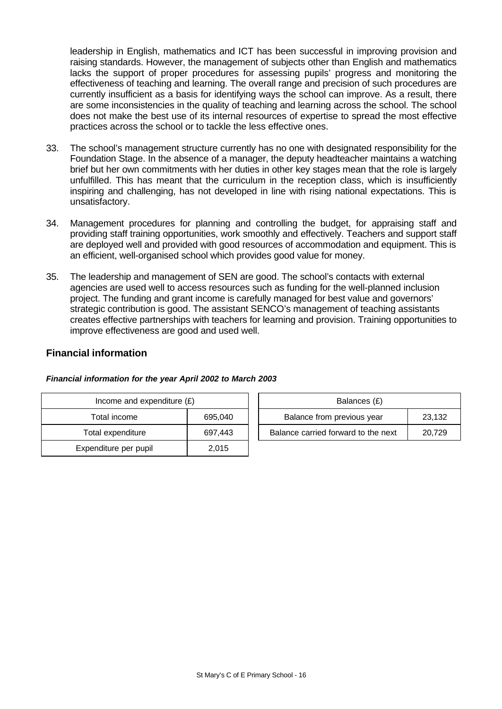leadership in English, mathematics and ICT has been successful in improving provision and raising standards. However, the management of subjects other than English and mathematics lacks the support of proper procedures for assessing pupils' progress and monitoring the effectiveness of teaching and learning. The overall range and precision of such procedures are currently insufficient as a basis for identifying ways the school can improve. As a result, there are some inconsistencies in the quality of teaching and learning across the school. The school does not make the best use of its internal resources of expertise to spread the most effective practices across the school or to tackle the less effective ones.

- 33. The school's management structure currently has no one with designated responsibility for the Foundation Stage. In the absence of a manager, the deputy headteacher maintains a watching brief but her own commitments with her duties in other key stages mean that the role is largely unfulfilled. This has meant that the curriculum in the reception class, which is insufficiently inspiring and challenging, has not developed in line with rising national expectations. This is unsatisfactory.
- 34. Management procedures for planning and controlling the budget, for appraising staff and providing staff training opportunities, work smoothly and effectively. Teachers and support staff are deployed well and provided with good resources of accommodation and equipment. This is an efficient, well-organised school which provides good value for money.
- 35. The leadership and management of SEN are good. The school's contacts with external agencies are used well to access resources such as funding for the well-planned inclusion project. The funding and grant income is carefully managed for best value and governors' strategic contribution is good. The assistant SENCO's management of teaching assistants creates effective partnerships with teachers for learning and provision. Training opportunities to improve effectiveness are good and used well.

## **Financial information**

| Income and expenditure $(E)$ |         | Balances (£)                        |        |  |
|------------------------------|---------|-------------------------------------|--------|--|
| Total income                 | 695,040 | Balance from previous year          | 23,132 |  |
| Total expenditure            | 697,443 | Balance carried forward to the next | 20,729 |  |
| Expenditure per pupil        | 2,015   |                                     |        |  |

#### *Financial information for the year April 2002 to March 2003*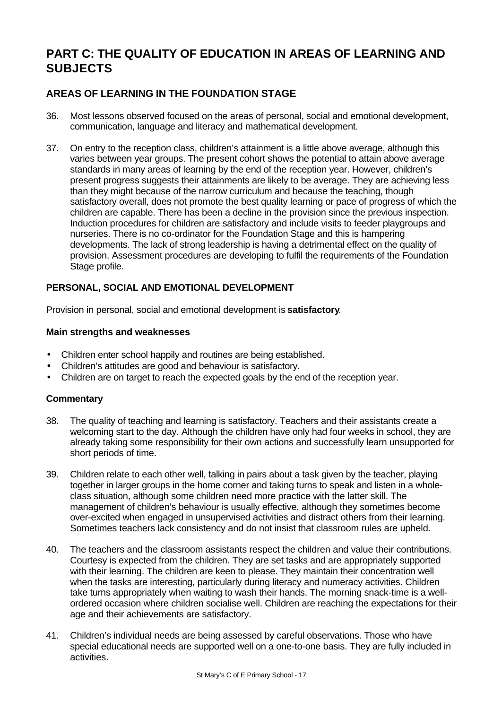# **PART C: THE QUALITY OF EDUCATION IN AREAS OF LEARNING AND SUBJECTS**

# **AREAS OF LEARNING IN THE FOUNDATION STAGE**

- 36. Most lessons observed focused on the areas of personal, social and emotional development, communication, language and literacy and mathematical development.
- 37. On entry to the reception class, children's attainment is a little above average, although this varies between year groups. The present cohort shows the potential to attain above average standards in many areas of learning by the end of the reception year. However, children's present progress suggests their attainments are likely to be average. They are achieving less than they might because of the narrow curriculum and because the teaching, though satisfactory overall, does not promote the best quality learning or pace of progress of which the children are capable. There has been a decline in the provision since the previous inspection. Induction procedures for children are satisfactory and include visits to feeder playgroups and nurseries. There is no co-ordinator for the Foundation Stage and this is hampering developments. The lack of strong leadership is having a detrimental effect on the quality of provision. Assessment procedures are developing to fulfil the requirements of the Foundation Stage profile.

### **PERSONAL, SOCIAL AND EMOTIONAL DEVELOPMENT**

Provision in personal, social and emotional development is **satisfactory**.

#### **Main strengths and weaknesses**

- Children enter school happily and routines are being established.
- Children's attitudes are good and behaviour is satisfactory.
- Children are on target to reach the expected goals by the end of the reception year.

- 38. The quality of teaching and learning is satisfactory. Teachers and their assistants create a welcoming start to the day. Although the children have only had four weeks in school, they are already taking some responsibility for their own actions and successfully learn unsupported for short periods of time.
- 39. Children relate to each other well, talking in pairs about a task given by the teacher, playing together in larger groups in the home corner and taking turns to speak and listen in a wholeclass situation, although some children need more practice with the latter skill. The management of children's behaviour is usually effective, although they sometimes become over-excited when engaged in unsupervised activities and distract others from their learning. Sometimes teachers lack consistency and do not insist that classroom rules are upheld.
- 40. The teachers and the classroom assistants respect the children and value their contributions. Courtesy is expected from the children. They are set tasks and are appropriately supported with their learning. The children are keen to please. They maintain their concentration well when the tasks are interesting, particularly during literacy and numeracy activities. Children take turns appropriately when waiting to wash their hands. The morning snack-time is a wellordered occasion where children socialise well. Children are reaching the expectations for their age and their achievements are satisfactory.
- 41. Children's individual needs are being assessed by careful observations. Those who have special educational needs are supported well on a one-to-one basis. They are fully included in activities.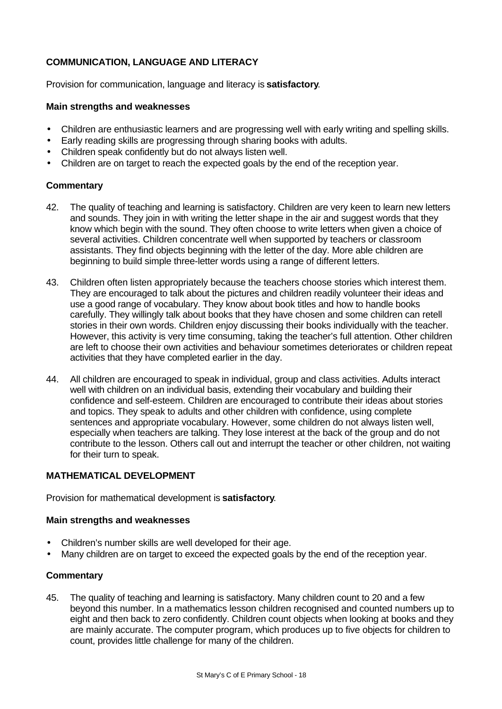# **COMMUNICATION, LANGUAGE AND LITERACY**

Provision for communication, language and literacy is **satisfactory**.

#### **Main strengths and weaknesses**

- Children are enthusiastic learners and are progressing well with early writing and spelling skills.
- Early reading skills are progressing through sharing books with adults.
- Children speak confidently but do not always listen well.
- Children are on target to reach the expected goals by the end of the reception year.

### **Commentary**

- 42. The quality of teaching and learning is satisfactory. Children are very keen to learn new letters and sounds. They join in with writing the letter shape in the air and suggest words that they know which begin with the sound. They often choose to write letters when given a choice of several activities. Children concentrate well when supported by teachers or classroom assistants. They find objects beginning with the letter of the day. More able children are beginning to build simple three-letter words using a range of different letters.
- 43. Children often listen appropriately because the teachers choose stories which interest them. They are encouraged to talk about the pictures and children readily volunteer their ideas and use a good range of vocabulary. They know about book titles and how to handle books carefully. They willingly talk about books that they have chosen and some children can retell stories in their own words. Children enjoy discussing their books individually with the teacher. However, this activity is very time consuming, taking the teacher's full attention. Other children are left to choose their own activities and behaviour sometimes deteriorates or children repeat activities that they have completed earlier in the day.
- 44. All children are encouraged to speak in individual, group and class activities. Adults interact well with children on an individual basis, extending their vocabulary and building their confidence and self-esteem. Children are encouraged to contribute their ideas about stories and topics. They speak to adults and other children with confidence, using complete sentences and appropriate vocabulary. However, some children do not always listen well, especially when teachers are talking. They lose interest at the back of the group and do not contribute to the lesson. Others call out and interrupt the teacher or other children, not waiting for their turn to speak.

#### **MATHEMATICAL DEVELOPMENT**

Provision for mathematical development is **satisfactory**.

#### **Main strengths and weaknesses**

- Children's number skills are well developed for their age.
- Many children are on target to exceed the expected goals by the end of the reception year.

#### **Commentary**

45. The quality of teaching and learning is satisfactory. Many children count to 20 and a few beyond this number. In a mathematics lesson children recognised and counted numbers up to eight and then back to zero confidently. Children count objects when looking at books and they are mainly accurate. The computer program, which produces up to five objects for children to count, provides little challenge for many of the children.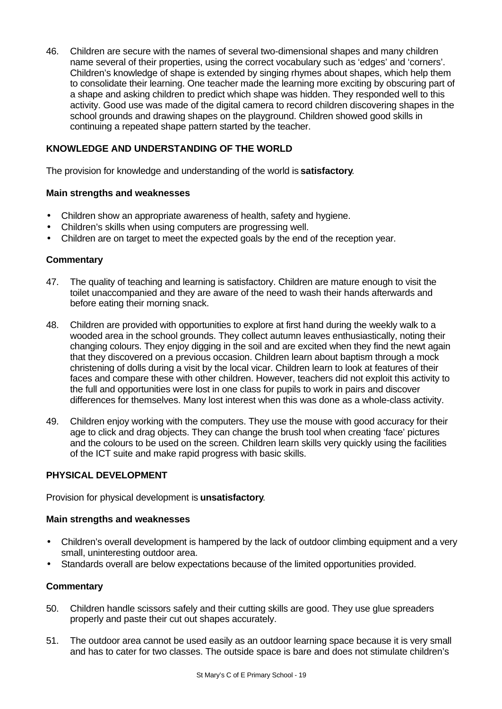46. Children are secure with the names of several two-dimensional shapes and many children name several of their properties, using the correct vocabulary such as 'edges' and 'corners'. Children's knowledge of shape is extended by singing rhymes about shapes, which help them to consolidate their learning. One teacher made the learning more exciting by obscuring part of a shape and asking children to predict which shape was hidden. They responded well to this activity. Good use was made of the digital camera to record children discovering shapes in the school grounds and drawing shapes on the playground. Children showed good skills in continuing a repeated shape pattern started by the teacher.

## **KNOWLEDGE AND UNDERSTANDING OF THE WORLD**

The provision for knowledge and understanding of the world is **satisfactory**.

#### **Main strengths and weaknesses**

- Children show an appropriate awareness of health, safety and hygiene.
- Children's skills when using computers are progressing well.
- Children are on target to meet the expected goals by the end of the reception year.

#### **Commentary**

- 47. The quality of teaching and learning is satisfactory. Children are mature enough to visit the toilet unaccompanied and they are aware of the need to wash their hands afterwards and before eating their morning snack.
- 48. Children are provided with opportunities to explore at first hand during the weekly walk to a wooded area in the school grounds. They collect autumn leaves enthusiastically, noting their changing colours. They enjoy digging in the soil and are excited when they find the newt again that they discovered on a previous occasion. Children learn about baptism through a mock christening of dolls during a visit by the local vicar. Children learn to look at features of their faces and compare these with other children. However, teachers did not exploit this activity to the full and opportunities were lost in one class for pupils to work in pairs and discover differences for themselves. Many lost interest when this was done as a whole-class activity.
- 49. Children enjoy working with the computers. They use the mouse with good accuracy for their age to click and drag objects. They can change the brush tool when creating 'face' pictures and the colours to be used on the screen. Children learn skills very quickly using the facilities of the ICT suite and make rapid progress with basic skills.

#### **PHYSICAL DEVELOPMENT**

Provision for physical development is **unsatisfactory**.

#### **Main strengths and weaknesses**

- Children's overall development is hampered by the lack of outdoor climbing equipment and a very small, uninteresting outdoor area.
- Standards overall are below expectations because of the limited opportunities provided.

- 50. Children handle scissors safely and their cutting skills are good. They use glue spreaders properly and paste their cut out shapes accurately.
- 51. The outdoor area cannot be used easily as an outdoor learning space because it is very small and has to cater for two classes. The outside space is bare and does not stimulate children's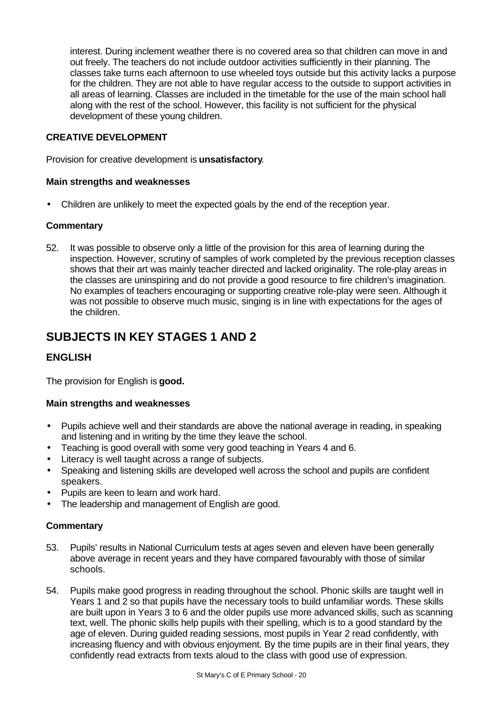interest. During inclement weather there is no covered area so that children can move in and out freely. The teachers do not include outdoor activities sufficiently in their planning. The classes take turns each afternoon to use wheeled toys outside but this activity lacks a purpose for the children. They are not able to have regular access to the outside to support activities in all areas of learning. Classes are included in the timetable for the use of the main school hall along with the rest of the school. However, this facility is not sufficient for the physical development of these young children.

### **CREATIVE DEVELOPMENT**

Provision for creative development is **unsatisfactory**.

#### **Main strengths and weaknesses**

• Children are unlikely to meet the expected goals by the end of the reception year.

#### **Commentary**

52. It was possible to observe only a little of the provision for this area of learning during the inspection. However, scrutiny of samples of work completed by the previous reception classes shows that their art was mainly teacher directed and lacked originality. The role-play areas in the classes are uninspiring and do not provide a good resource to fire children's imagination. No examples of teachers encouraging or supporting creative role-play were seen. Although it was not possible to observe much music, singing is in line with expectations for the ages of the children.

# **SUBJECTS IN KEY STAGES 1 AND 2**

# **ENGLISH**

The provision for English is **good.**

#### **Main strengths and weaknesses**

- Pupils achieve well and their standards are above the national average in reading, in speaking and listening and in writing by the time they leave the school.
- Teaching is good overall with some very good teaching in Years 4 and 6.
- Literacy is well taught across a range of subjects.
- Speaking and listening skills are developed well across the school and pupils are confident speakers.
- Pupils are keen to learn and work hard.
- The leadership and management of English are good.

- 53. Pupils' results in National Curriculum tests at ages seven and eleven have been generally above average in recent years and they have compared favourably with those of similar schools.
- 54. Pupils make good progress in reading throughout the school. Phonic skills are taught well in Years 1 and 2 so that pupils have the necessary tools to build unfamiliar words. These skills are built upon in Years 3 to 6 and the older pupils use more advanced skills, such as scanning text, well. The phonic skills help pupils with their spelling, which is to a good standard by the age of eleven. During guided reading sessions, most pupils in Year 2 read confidently, with increasing fluency and with obvious enjoyment. By the time pupils are in their final years, they confidently read extracts from texts aloud to the class with good use of expression.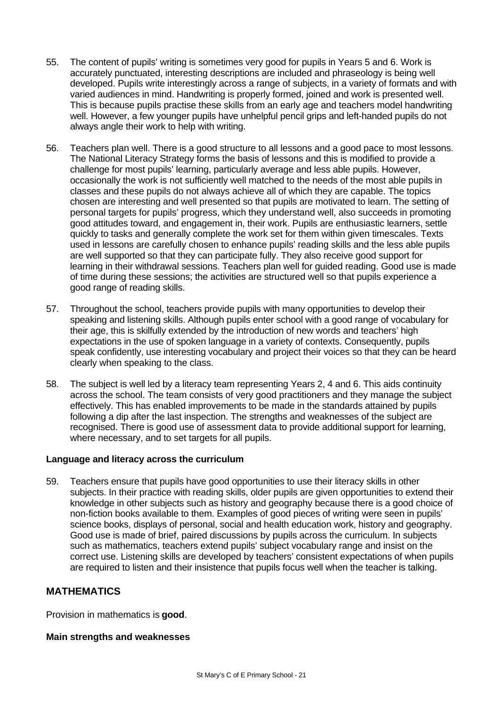- 55. The content of pupils' writing is sometimes very good for pupils in Years 5 and 6. Work is accurately punctuated, interesting descriptions are included and phraseology is being well developed. Pupils write interestingly across a range of subjects, in a variety of formats and with varied audiences in mind. Handwriting is properly formed, joined and work is presented well. This is because pupils practise these skills from an early age and teachers model handwriting well. However, a few younger pupils have unhelpful pencil grips and left-handed pupils do not always angle their work to help with writing.
- 56. Teachers plan well. There is a good structure to all lessons and a good pace to most lessons. The National Literacy Strategy forms the basis of lessons and this is modified to provide a challenge for most pupils' learning, particularly average and less able pupils. However, occasionally the work is not sufficiently well matched to the needs of the most able pupils in classes and these pupils do not always achieve all of which they are capable. The topics chosen are interesting and well presented so that pupils are motivated to learn. The setting of personal targets for pupils' progress, which they understand well, also succeeds in promoting good attitudes toward, and engagement in, their work. Pupils are enthusiastic learners, settle quickly to tasks and generally complete the work set for them within given timescales. Texts used in lessons are carefully chosen to enhance pupils' reading skills and the less able pupils are well supported so that they can participate fully. They also receive good support for learning in their withdrawal sessions. Teachers plan well for guided reading. Good use is made of time during these sessions; the activities are structured well so that pupils experience a good range of reading skills.
- 57. Throughout the school, teachers provide pupils with many opportunities to develop their speaking and listening skills. Although pupils enter school with a good range of vocabulary for their age, this is skilfully extended by the introduction of new words and teachers' high expectations in the use of spoken language in a variety of contexts. Consequently, pupils speak confidently, use interesting vocabulary and project their voices so that they can be heard clearly when speaking to the class.
- 58. The subject is well led by a literacy team representing Years 2, 4 and 6. This aids continuity across the school. The team consists of very good practitioners and they manage the subject effectively. This has enabled improvements to be made in the standards attained by pupils following a dip after the last inspection. The strengths and weaknesses of the subject are recognised. There is good use of assessment data to provide additional support for learning, where necessary, and to set targets for all pupils.

#### **Language and literacy across the curriculum**

59. Teachers ensure that pupils have good opportunities to use their literacy skills in other subjects. In their practice with reading skills, older pupils are given opportunities to extend their knowledge in other subjects such as history and geography because there is a good choice of non-fiction books available to them. Examples of good pieces of writing were seen in pupils' science books, displays of personal, social and health education work, history and geography. Good use is made of brief, paired discussions by pupils across the curriculum. In subjects such as mathematics, teachers extend pupils' subject vocabulary range and insist on the correct use. Listening skills are developed by teachers' consistent expectations of when pupils are required to listen and their insistence that pupils focus well when the teacher is talking.

#### **MATHEMATICS**

Provision in mathematics is **good**.

#### **Main strengths and weaknesses**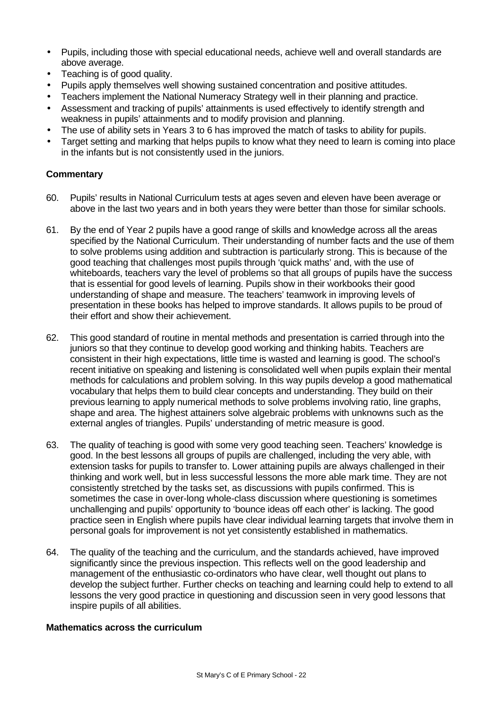- Pupils, including those with special educational needs, achieve well and overall standards are above average.
- Teaching is of good quality.
- Pupils apply themselves well showing sustained concentration and positive attitudes.
- Teachers implement the National Numeracy Strategy well in their planning and practice.
- Assessment and tracking of pupils' attainments is used effectively to identify strength and weakness in pupils' attainments and to modify provision and planning.
- The use of ability sets in Years 3 to 6 has improved the match of tasks to ability for pupils.
- Target setting and marking that helps pupils to know what they need to learn is coming into place in the infants but is not consistently used in the juniors.

#### **Commentary**

- 60. Pupils' results in National Curriculum tests at ages seven and eleven have been average or above in the last two years and in both years they were better than those for similar schools.
- 61. By the end of Year 2 pupils have a good range of skills and knowledge across all the areas specified by the National Curriculum. Their understanding of number facts and the use of them to solve problems using addition and subtraction is particularly strong. This is because of the good teaching that challenges most pupils through 'quick maths' and, with the use of whiteboards, teachers vary the level of problems so that all groups of pupils have the success that is essential for good levels of learning. Pupils show in their workbooks their good understanding of shape and measure. The teachers' teamwork in improving levels of presentation in these books has helped to improve standards. It allows pupils to be proud of their effort and show their achievement.
- 62. This good standard of routine in mental methods and presentation is carried through into the juniors so that they continue to develop good working and thinking habits. Teachers are consistent in their high expectations, little time is wasted and learning is good. The school's recent initiative on speaking and listening is consolidated well when pupils explain their mental methods for calculations and problem solving. In this way pupils develop a good mathematical vocabulary that helps them to build clear concepts and understanding. They build on their previous learning to apply numerical methods to solve problems involving ratio, line graphs, shape and area. The highest attainers solve algebraic problems with unknowns such as the external angles of triangles. Pupils' understanding of metric measure is good.
- 63. The quality of teaching is good with some very good teaching seen. Teachers' knowledge is good. In the best lessons all groups of pupils are challenged, including the very able, with extension tasks for pupils to transfer to. Lower attaining pupils are always challenged in their thinking and work well, but in less successful lessons the more able mark time. They are not consistently stretched by the tasks set, as discussions with pupils confirmed. This is sometimes the case in over-long whole-class discussion where questioning is sometimes unchallenging and pupils' opportunity to 'bounce ideas off each other' is lacking. The good practice seen in English where pupils have clear individual learning targets that involve them in personal goals for improvement is not yet consistently established in mathematics.
- 64. The quality of the teaching and the curriculum, and the standards achieved, have improved significantly since the previous inspection. This reflects well on the good leadership and management of the enthusiastic co-ordinators who have clear, well thought out plans to develop the subject further. Further checks on teaching and learning could help to extend to all lessons the very good practice in questioning and discussion seen in very good lessons that inspire pupils of all abilities.

#### **Mathematics across the curriculum**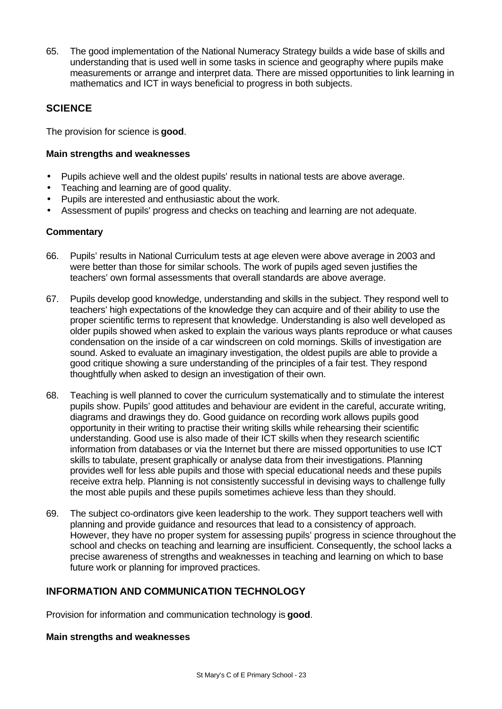65. The good implementation of the National Numeracy Strategy builds a wide base of skills and understanding that is used well in some tasks in science and geography where pupils make measurements or arrange and interpret data. There are missed opportunities to link learning in mathematics and ICT in ways beneficial to progress in both subjects.

# **SCIENCE**

The provision for science is **good**.

#### **Main strengths and weaknesses**

- Pupils achieve well and the oldest pupils' results in national tests are above average.
- Teaching and learning are of good quality.
- Pupils are interested and enthusiastic about the work.
- Assessment of pupils' progress and checks on teaching and learning are not adequate.

### **Commentary**

- 66. Pupils' results in National Curriculum tests at age eleven were above average in 2003 and were better than those for similar schools. The work of pupils aged seven justifies the teachers' own formal assessments that overall standards are above average.
- 67. Pupils develop good knowledge, understanding and skills in the subject. They respond well to teachers' high expectations of the knowledge they can acquire and of their ability to use the proper scientific terms to represent that knowledge. Understanding is also well developed as older pupils showed when asked to explain the various ways plants reproduce or what causes condensation on the inside of a car windscreen on cold mornings. Skills of investigation are sound. Asked to evaluate an imaginary investigation, the oldest pupils are able to provide a good critique showing a sure understanding of the principles of a fair test. They respond thoughtfully when asked to design an investigation of their own.
- 68. Teaching is well planned to cover the curriculum systematically and to stimulate the interest pupils show. Pupils' good attitudes and behaviour are evident in the careful, accurate writing, diagrams and drawings they do. Good guidance on recording work allows pupils good opportunity in their writing to practise their writing skills while rehearsing their scientific understanding. Good use is also made of their ICT skills when they research scientific information from databases or via the Internet but there are missed opportunities to use ICT skills to tabulate, present graphically or analyse data from their investigations. Planning provides well for less able pupils and those with special educational needs and these pupils receive extra help. Planning is not consistently successful in devising ways to challenge fully the most able pupils and these pupils sometimes achieve less than they should.
- 69. The subject co-ordinators give keen leadership to the work. They support teachers well with planning and provide guidance and resources that lead to a consistency of approach. However, they have no proper system for assessing pupils' progress in science throughout the school and checks on teaching and learning are insufficient. Consequently, the school lacks a precise awareness of strengths and weaknesses in teaching and learning on which to base future work or planning for improved practices.

# **INFORMATION AND COMMUNICATION TECHNOLOGY**

Provision for information and communication technology is **good**.

#### **Main strengths and weaknesses**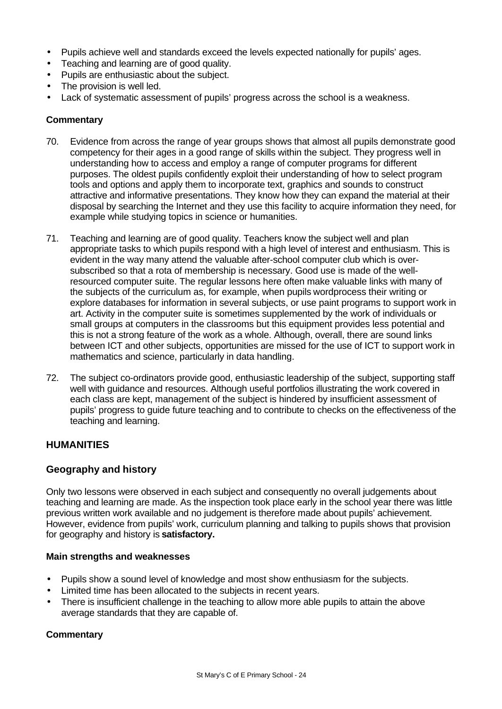- Pupils achieve well and standards exceed the levels expected nationally for pupils' ages.
- Teaching and learning are of good quality.
- Pupils are enthusiastic about the subject.
- The provision is well led.
- Lack of systematic assessment of pupils' progress across the school is a weakness.

#### **Commentary**

- 70. Evidence from across the range of year groups shows that almost all pupils demonstrate good competency for their ages in a good range of skills within the subject. They progress well in understanding how to access and employ a range of computer programs for different purposes. The oldest pupils confidently exploit their understanding of how to select program tools and options and apply them to incorporate text, graphics and sounds to construct attractive and informative presentations. They know how they can expand the material at their disposal by searching the Internet and they use this facility to acquire information they need, for example while studying topics in science or humanities.
- 71. Teaching and learning are of good quality. Teachers know the subject well and plan appropriate tasks to which pupils respond with a high level of interest and enthusiasm. This is evident in the way many attend the valuable after-school computer club which is oversubscribed so that a rota of membership is necessary. Good use is made of the wellresourced computer suite. The regular lessons here often make valuable links with many of the subjects of the curriculum as, for example, when pupils wordprocess their writing or explore databases for information in several subjects, or use paint programs to support work in art. Activity in the computer suite is sometimes supplemented by the work of individuals or small groups at computers in the classrooms but this equipment provides less potential and this is not a strong feature of the work as a whole. Although, overall, there are sound links between ICT and other subjects, opportunities are missed for the use of ICT to support work in mathematics and science, particularly in data handling.
- 72. The subject co-ordinators provide good, enthusiastic leadership of the subject, supporting staff well with guidance and resources. Although useful portfolios illustrating the work covered in each class are kept, management of the subject is hindered by insufficient assessment of pupils' progress to guide future teaching and to contribute to checks on the effectiveness of the teaching and learning.

#### **HUMANITIES**

# **Geography and history**

Only two lessons were observed in each subject and consequently no overall judgements about teaching and learning are made. As the inspection took place early in the school year there was little previous written work available and no judgement is therefore made about pupils' achievement. However, evidence from pupils' work, curriculum planning and talking to pupils shows that provision for geography and history is **satisfactory.**

#### **Main strengths and weaknesses**

- Pupils show a sound level of knowledge and most show enthusiasm for the subjects.
- Limited time has been allocated to the subjects in recent years.
- There is insufficient challenge in the teaching to allow more able pupils to attain the above average standards that they are capable of.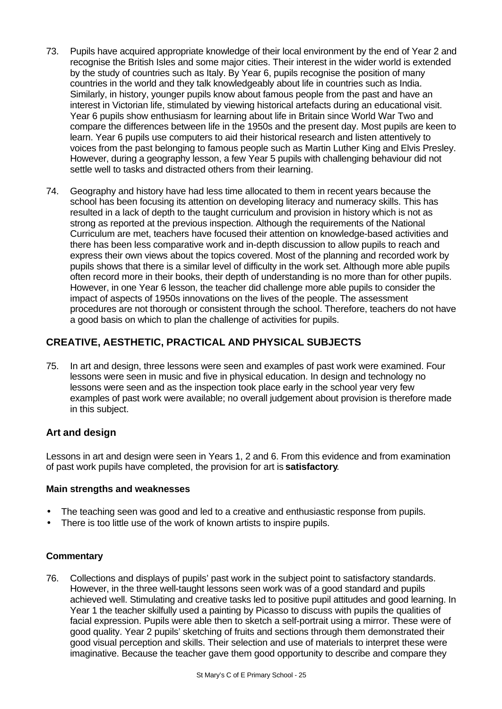- 73. Pupils have acquired appropriate knowledge of their local environment by the end of Year 2 and recognise the British Isles and some major cities. Their interest in the wider world is extended by the study of countries such as Italy. By Year 6, pupils recognise the position of many countries in the world and they talk knowledgeably about life in countries such as India. Similarly, in history, younger pupils know about famous people from the past and have an interest in Victorian life, stimulated by viewing historical artefacts during an educational visit. Year 6 pupils show enthusiasm for learning about life in Britain since World War Two and compare the differences between life in the 1950s and the present day. Most pupils are keen to learn. Year 6 pupils use computers to aid their historical research and listen attentively to voices from the past belonging to famous people such as Martin Luther King and Elvis Presley. However, during a geography lesson, a few Year 5 pupils with challenging behaviour did not settle well to tasks and distracted others from their learning.
- 74. Geography and history have had less time allocated to them in recent years because the school has been focusing its attention on developing literacy and numeracy skills. This has resulted in a lack of depth to the taught curriculum and provision in history which is not as strong as reported at the previous inspection. Although the requirements of the National Curriculum are met, teachers have focused their attention on knowledge-based activities and there has been less comparative work and in-depth discussion to allow pupils to reach and express their own views about the topics covered. Most of the planning and recorded work by pupils shows that there is a similar level of difficulty in the work set. Although more able pupils often record more in their books, their depth of understanding is no more than for other pupils. However, in one Year 6 lesson, the teacher did challenge more able pupils to consider the impact of aspects of 1950s innovations on the lives of the people. The assessment procedures are not thorough or consistent through the school. Therefore, teachers do not have a good basis on which to plan the challenge of activities for pupils.

# **CREATIVE, AESTHETIC, PRACTICAL AND PHYSICAL SUBJECTS**

75. In art and design, three lessons were seen and examples of past work were examined. Four lessons were seen in music and five in physical education. In design and technology no lessons were seen and as the inspection took place early in the school year very few examples of past work were available; no overall judgement about provision is therefore made in this subject.

# **Art and design**

Lessons in art and design were seen in Years 1, 2 and 6. From this evidence and from examination of past work pupils have completed, the provision for art is **satisfactory**.

#### **Main strengths and weaknesses**

- The teaching seen was good and led to a creative and enthusiastic response from pupils.
- There is too little use of the work of known artists to inspire pupils.

#### **Commentary**

76. Collections and displays of pupils' past work in the subject point to satisfactory standards. However, in the three well-taught lessons seen work was of a good standard and pupils achieved well. Stimulating and creative tasks led to positive pupil attitudes and good learning. In Year 1 the teacher skilfully used a painting by Picasso to discuss with pupils the qualities of facial expression. Pupils were able then to sketch a self-portrait using a mirror. These were of good quality. Year 2 pupils' sketching of fruits and sections through them demonstrated their good visual perception and skills. Their selection and use of materials to interpret these were imaginative. Because the teacher gave them good opportunity to describe and compare they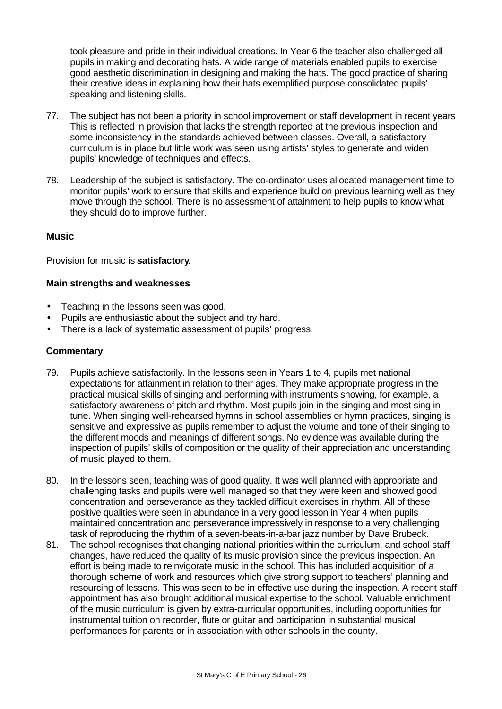took pleasure and pride in their individual creations. In Year 6 the teacher also challenged all pupils in making and decorating hats. A wide range of materials enabled pupils to exercise good aesthetic discrimination in designing and making the hats. The good practice of sharing their creative ideas in explaining how their hats exemplified purpose consolidated pupils' speaking and listening skills.

- 77. The subject has not been a priority in school improvement or staff development in recent years This is reflected in provision that lacks the strength reported at the previous inspection and some inconsistency in the standards achieved between classes. Overall, a satisfactory curriculum is in place but little work was seen using artists' styles to generate and widen pupils' knowledge of techniques and effects.
- 78. Leadership of the subject is satisfactory. The co-ordinator uses allocated management time to monitor pupils' work to ensure that skills and experience build on previous learning well as they move through the school. There is no assessment of attainment to help pupils to know what they should do to improve further.

#### **Music**

Provision for music is **satisfactory**.

### **Main strengths and weaknesses**

- Teaching in the lessons seen was good.
- Pupils are enthusiastic about the subject and try hard.
- There is a lack of systematic assessment of pupils' progress.

- 79. Pupils achieve satisfactorily. In the lessons seen in Years 1 to 4, pupils met national expectations for attainment in relation to their ages. They make appropriate progress in the practical musical skills of singing and performing with instruments showing, for example, a satisfactory awareness of pitch and rhythm. Most pupils join in the singing and most sing in tune. When singing well-rehearsed hymns in school assemblies or hymn practices, singing is sensitive and expressive as pupils remember to adjust the volume and tone of their singing to the different moods and meanings of different songs. No evidence was available during the inspection of pupils' skills of composition or the quality of their appreciation and understanding of music played to them.
- 80. In the lessons seen, teaching was of good quality. It was well planned with appropriate and challenging tasks and pupils were well managed so that they were keen and showed good concentration and perseverance as they tackled difficult exercises in rhythm. All of these positive qualities were seen in abundance in a very good lesson in Year 4 when pupils maintained concentration and perseverance impressively in response to a very challenging task of reproducing the rhythm of a seven-beats-in-a-bar jazz number by Dave Brubeck.
- 81. The school recognises that changing national priorities within the curriculum, and school staff changes, have reduced the quality of its music provision since the previous inspection. An effort is being made to reinvigorate music in the school. This has included acquisition of a thorough scheme of work and resources which give strong support to teachers' planning and resourcing of lessons. This was seen to be in effective use during the inspection. A recent staff appointment has also brought additional musical expertise to the school. Valuable enrichment of the music curriculum is given by extra-curricular opportunities, including opportunities for instrumental tuition on recorder, flute or guitar and participation in substantial musical performances for parents or in association with other schools in the county.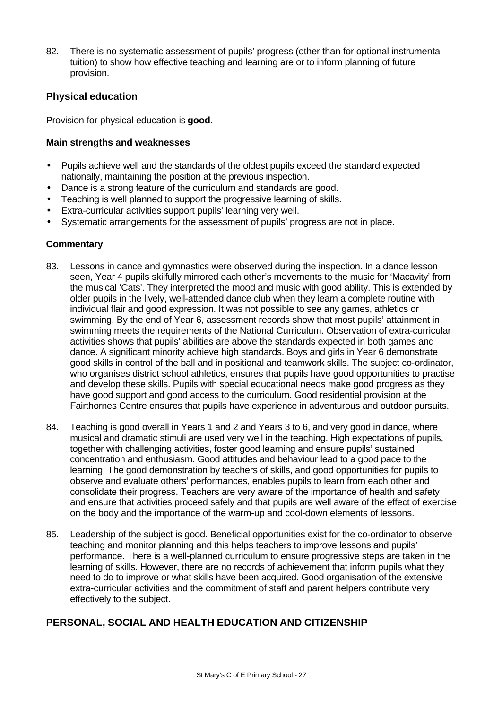82. There is no systematic assessment of pupils' progress (other than for optional instrumental tuition) to show how effective teaching and learning are or to inform planning of future provision.

# **Physical education**

Provision for physical education is **good**.

#### **Main strengths and weaknesses**

- Pupils achieve well and the standards of the oldest pupils exceed the standard expected nationally, maintaining the position at the previous inspection.
- Dance is a strong feature of the curriculum and standards are good.
- Teaching is well planned to support the progressive learning of skills.
- Extra-curricular activities support pupils' learning very well.
- Systematic arrangements for the assessment of pupils' progress are not in place.

### **Commentary**

- 83. Lessons in dance and gymnastics were observed during the inspection. In a dance lesson seen, Year 4 pupils skilfully mirrored each other's movements to the music for 'Macavity' from the musical 'Cats'. They interpreted the mood and music with good ability. This is extended by older pupils in the lively, well-attended dance club when they learn a complete routine with individual flair and good expression. It was not possible to see any games, athletics or swimming. By the end of Year 6, assessment records show that most pupils' attainment in swimming meets the requirements of the National Curriculum. Observation of extra-curricular activities shows that pupils' abilities are above the standards expected in both games and dance. A significant minority achieve high standards. Boys and girls in Year 6 demonstrate good skills in control of the ball and in positional and teamwork skills. The subject co-ordinator, who organises district school athletics, ensures that pupils have good opportunities to practise and develop these skills. Pupils with special educational needs make good progress as they have good support and good access to the curriculum. Good residential provision at the Fairthornes Centre ensures that pupils have experience in adventurous and outdoor pursuits.
- 84. Teaching is good overall in Years 1 and 2 and Years 3 to 6, and very good in dance, where musical and dramatic stimuli are used very well in the teaching. High expectations of pupils, together with challenging activities, foster good learning and ensure pupils' sustained concentration and enthusiasm. Good attitudes and behaviour lead to a good pace to the learning. The good demonstration by teachers of skills, and good opportunities for pupils to observe and evaluate others' performances, enables pupils to learn from each other and consolidate their progress. Teachers are very aware of the importance of health and safety and ensure that activities proceed safely and that pupils are well aware of the effect of exercise on the body and the importance of the warm-up and cool-down elements of lessons.
- 85. Leadership of the subject is good. Beneficial opportunities exist for the co-ordinator to observe teaching and monitor planning and this helps teachers to improve lessons and pupils' performance. There is a well-planned curriculum to ensure progressive steps are taken in the learning of skills. However, there are no records of achievement that inform pupils what they need to do to improve or what skills have been acquired. Good organisation of the extensive extra-curricular activities and the commitment of staff and parent helpers contribute very effectively to the subject.

# **PERSONAL, SOCIAL AND HEALTH EDUCATION AND CITIZENSHIP**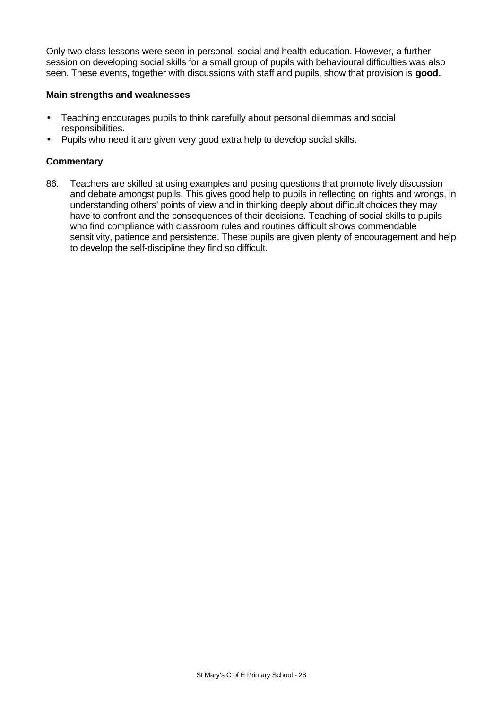Only two class lessons were seen in personal, social and health education. However, a further session on developing social skills for a small group of pupils with behavioural difficulties was also seen. These events, together with discussions with staff and pupils, show that provision is **good.**

#### **Main strengths and weaknesses**

- Teaching encourages pupils to think carefully about personal dilemmas and social responsibilities.
- Pupils who need it are given very good extra help to develop social skills.

# **Commentary**

86. Teachers are skilled at using examples and posing questions that promote lively discussion and debate amongst pupils. This gives good help to pupils in reflecting on rights and wrongs, in understanding others' points of view and in thinking deeply about difficult choices they may have to confront and the consequences of their decisions. Teaching of social skills to pupils who find compliance with classroom rules and routines difficult shows commendable sensitivity, patience and persistence. These pupils are given plenty of encouragement and help to develop the self-discipline they find so difficult.